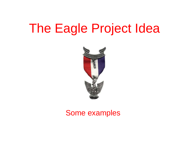# The Eagle Project Idea



#### Some examples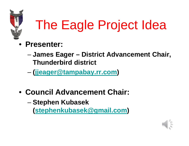

# The Eagle Project Idea

- **Presenter:**
	- **James Eager District Advancement Chair, Thunderbird district**
	- **[\(jjeager@tampabay.rr.com\)](mailto:jjeager@tampabay.rr.com)**
- **Council Advancement Chair:**
	- **Stephen Kubasek**

**[\(stephenkubasek@gmail.com\)](mailto:stephenkubasek@gmail.com)**

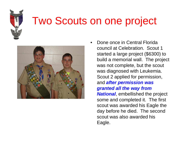

## Two Scouts on one project



• Done once in Central Florida council at Celebration. Scout 1 started a large project (\$6300) to build a memorial wall. The project was not complete, but the scout was diagnosed with Leukemia. Scout 2 applied for permission, and *after permission was granted all the way from National*, embellished the project some and completed it. The first scout was awarded his Eagle the day before he died. The second scout was also awarded his Eagle.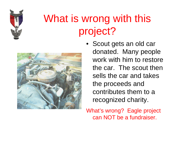

# What is wrong with this project?



• Scout gets an old car donated. Many people work with him to restore the car. The scout then sells the car and takes the proceeds and contributes them to a recognized charity.

What's wrong? Eagle project can NOT be a fundraiser.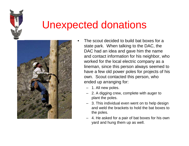

#### Unexpected donations



- The scout decided to build bat boxes for a state park. When talking to the DAC, the DAC had an idea and gave him the name and contact information for his neighbor, who worked for the local electric company as a lineman, since this person always seemed to have a few old power poles for projects of his own. Scout contacted this person, who ended up arranging for:
	- 1. All new poles.
	- 2. A digging crew, complete with auger to plant the poles.
	- 3. This individual even went on to help design and weld the brackets to hold the bat boxes to the poles.
	- 4. He asked for a pair of bat boxes for his own yard and hung them up as well.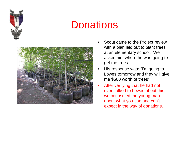

### **Donations**



- Scout came to the Project review with a plan laid out to plant trees at an elementary school. We asked him where he was going to get the trees.
- His response was: "I'm going to Lowes tomorrow and they will give me \$600 worth of trees".
- After verifying that he had not even talked to Lowes about this, we counseled the young man about what you can and can't expect in the way of donations.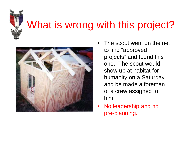

## What is wrong with this project?



- The scout went on the net to find "approved projects" and found this one. The scout would show up at habitat for humanity on a Saturday and be made a foreman of a crew assigned to him.
- No leadership and no pre-planning.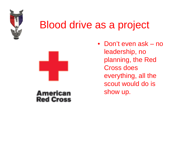

### Blood drive as a project



#### **American Red Cross**

• Don't even ask – no leadership, no planning, the Red Cross does everything, all the scout would do is show up.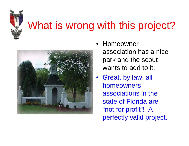

# What is wrong with this project?



- Homeowner association has a nice park and the scout wants to add to it.
- Great, by law, all homeowners associations in the state of Florida are "not for profit"! A perfectly valid project.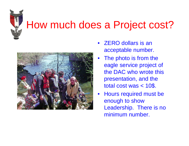

### How much does a Project cost?



- ZERO dollars is an acceptable number.
- The photo is from the eagle service project of the DAC who wrote this presentation, and the total cost was < 10\$.
- Hours required must be enough to show Leadership. There is no minimum number.